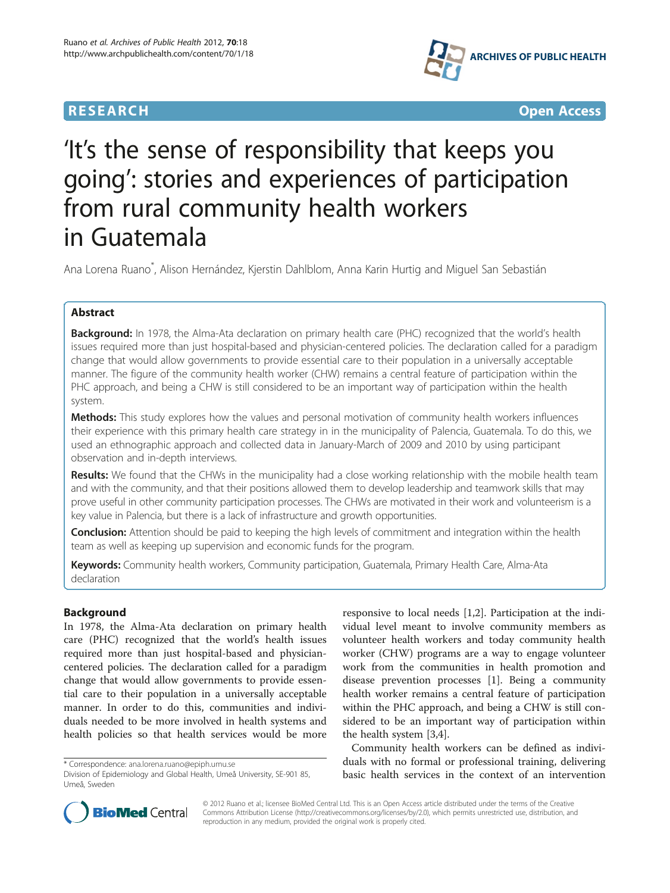



# 'It's the sense of responsibility that keeps you going': stories and experiences of participation from rural community health workers in Guatemala

Ana Lorena Ruano\* , Alison Hernández, Kjerstin Dahlblom, Anna Karin Hurtig and Miguel San Sebastián

# Abstract

Background: In 1978, the Alma-Ata declaration on primary health care (PHC) recognized that the world's health issues required more than just hospital-based and physician-centered policies. The declaration called for a paradigm change that would allow governments to provide essential care to their population in a universally acceptable manner. The figure of the community health worker (CHW) remains a central feature of participation within the PHC approach, and being a CHW is still considered to be an important way of participation within the health system.

**Methods:** This study explores how the values and personal motivation of community health workers influences their experience with this primary health care strategy in in the municipality of Palencia, Guatemala. To do this, we used an ethnographic approach and collected data in January-March of 2009 and 2010 by using participant observation and in-depth interviews.

Results: We found that the CHWs in the municipality had a close working relationship with the mobile health team and with the community, and that their positions allowed them to develop leadership and teamwork skills that may prove useful in other community participation processes. The CHWs are motivated in their work and volunteerism is a key value in Palencia, but there is a lack of infrastructure and growth opportunities.

**Conclusion:** Attention should be paid to keeping the high levels of commitment and integration within the health team as well as keeping up supervision and economic funds for the program.

Keywords: Community health workers, Community participation, Guatemala, Primary Health Care, Alma-Ata declaration

## Background

In 1978, the Alma-Ata declaration on primary health care (PHC) recognized that the world's health issues required more than just hospital-based and physiciancentered policies. The declaration called for a paradigm change that would allow governments to provide essential care to their population in a universally acceptable manner. In order to do this, communities and individuals needed to be more involved in health systems and health policies so that health services would be more

responsive to local needs [\[1,2](#page-7-0)]. Participation at the individual level meant to involve community members as volunteer health workers and today community health worker (CHW) programs are a way to engage volunteer work from the communities in health promotion and disease prevention processes [[1\]](#page-7-0). Being a community health worker remains a central feature of participation within the PHC approach, and being a CHW is still considered to be an important way of participation within the health system [\[3](#page-7-0),[4](#page-7-0)].

Community health workers can be defined as individuals with no formal or professional training, delivering basic health services in the context of an intervention



© 2012 Ruano et al.; licensee BioMed Central Ltd. This is an Open Access article distributed under the terms of the Creative Commons Attribution License [\(http://creativecommons.org/licenses/by/2.0\)](http://creativecommons.org/licenses/by/2.0), which permits unrestricted use, distribution, and reproduction in any medium, provided the original work is properly cited.

<sup>\*</sup> Correspondence: [ana.lorena.ruano@epiph.umu.se](mailto:ana.lorena.ruano@epiph.umu.se)

Division of Epidemiology and Global Health, Umeå University, SE-901 85, Umeå, Sweden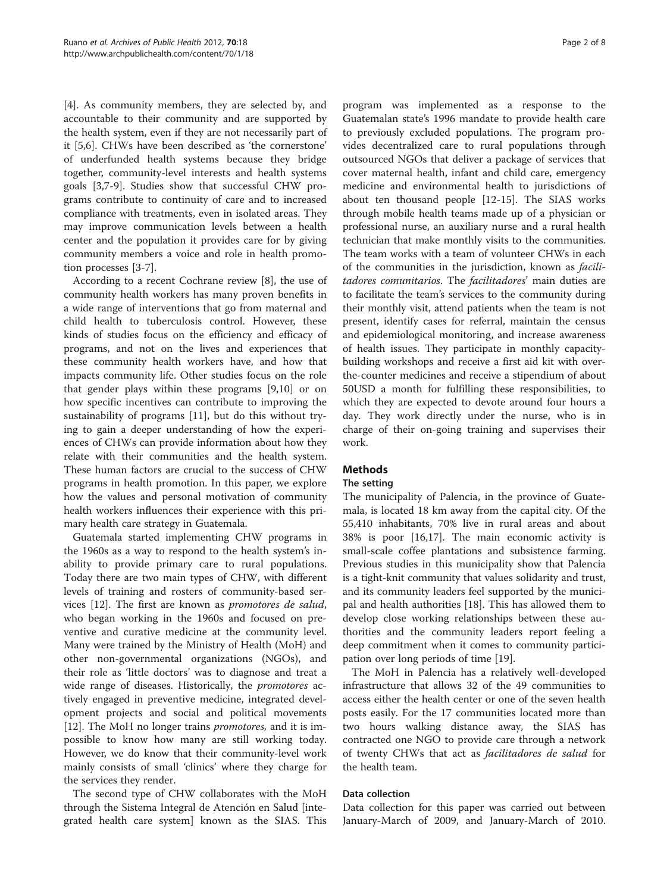[[4\]](#page-7-0). As community members, they are selected by, and accountable to their community and are supported by the health system, even if they are not necessarily part of it [\[5,6](#page-7-0)]. CHWs have been described as 'the cornerstone' of underfunded health systems because they bridge together, community-level interests and health systems goals [\[3](#page-7-0),[7](#page-7-0)-[9\]](#page-7-0). Studies show that successful CHW programs contribute to continuity of care and to increased compliance with treatments, even in isolated areas. They may improve communication levels between a health center and the population it provides care for by giving community members a voice and role in health promotion processes [[3-7\]](#page-7-0).

According to a recent Cochrane review [\[8](#page-7-0)], the use of community health workers has many proven benefits in a wide range of interventions that go from maternal and child health to tuberculosis control. However, these kinds of studies focus on the efficiency and efficacy of programs, and not on the lives and experiences that these community health workers have, and how that impacts community life. Other studies focus on the role that gender plays within these programs [[9,10\]](#page-7-0) or on how specific incentives can contribute to improving the sustainability of programs [\[11\]](#page-7-0), but do this without trying to gain a deeper understanding of how the experiences of CHWs can provide information about how they relate with their communities and the health system. These human factors are crucial to the success of CHW programs in health promotion. In this paper, we explore how the values and personal motivation of community health workers influences their experience with this primary health care strategy in Guatemala.

Guatemala started implementing CHW programs in the 1960s as a way to respond to the health system's inability to provide primary care to rural populations. Today there are two main types of CHW, with different levels of training and rosters of community-based services [[12](#page-7-0)]. The first are known as promotores de salud, who began working in the 1960s and focused on preventive and curative medicine at the community level. Many were trained by the Ministry of Health (MoH) and other non-governmental organizations (NGOs), and their role as 'little doctors' was to diagnose and treat a wide range of diseases. Historically, the *promotores* actively engaged in preventive medicine, integrated development projects and social and political movements [[12\]](#page-7-0). The MoH no longer trains *promotores*, and it is impossible to know how many are still working today. However, we do know that their community-level work mainly consists of small 'clinics' where they charge for the services they render.

The second type of CHW collaborates with the MoH through the Sistema Integral de Atención en Salud [integrated health care system] known as the SIAS. This

program was implemented as a response to the Guatemalan state's 1996 mandate to provide health care to previously excluded populations. The program provides decentralized care to rural populations through outsourced NGOs that deliver a package of services that cover maternal health, infant and child care, emergency medicine and environmental health to jurisdictions of about ten thousand people [[12-15\]](#page-7-0). The SIAS works through mobile health teams made up of a physician or professional nurse, an auxiliary nurse and a rural health technician that make monthly visits to the communities. The team works with a team of volunteer CHWs in each of the communities in the jurisdiction, known as facilitadores comunitarios. The facilitadores' main duties are to facilitate the team's services to the community during their monthly visit, attend patients when the team is not present, identify cases for referral, maintain the census and epidemiological monitoring, and increase awareness of health issues. They participate in monthly capacitybuilding workshops and receive a first aid kit with overthe-counter medicines and receive a stipendium of about 50USD a month for fulfilling these responsibilities, to which they are expected to devote around four hours a day. They work directly under the nurse, who is in charge of their on-going training and supervises their work.

## Methods

## The setting

The municipality of Palencia, in the province of Guatemala, is located 18 km away from the capital city. Of the 55,410 inhabitants, 70% live in rural areas and about 38% is poor [[16](#page-7-0),[17](#page-7-0)]. The main economic activity is small-scale coffee plantations and subsistence farming. Previous studies in this municipality show that Palencia is a tight-knit community that values solidarity and trust, and its community leaders feel supported by the municipal and health authorities [[18\]](#page-7-0). This has allowed them to develop close working relationships between these authorities and the community leaders report feeling a deep commitment when it comes to community participation over long periods of time [\[19\]](#page-7-0).

The MoH in Palencia has a relatively well-developed infrastructure that allows 32 of the 49 communities to access either the health center or one of the seven health posts easily. For the 17 communities located more than two hours walking distance away, the SIAS has contracted one NGO to provide care through a network of twenty CHWs that act as facilitadores de salud for the health team.

#### Data collection

Data collection for this paper was carried out between January-March of 2009, and January-March of 2010.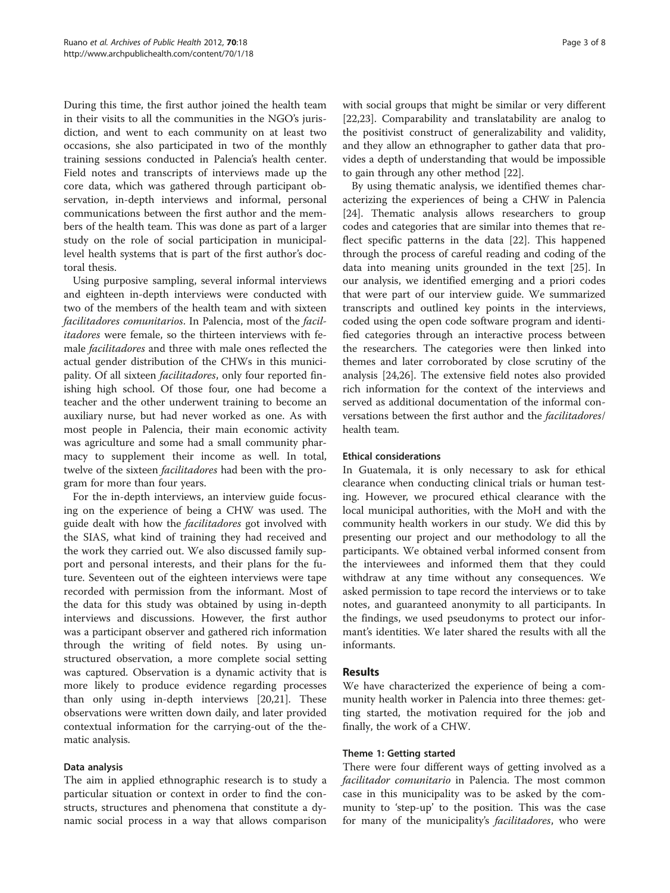During this time, the first author joined the health team in their visits to all the communities in the NGO's jurisdiction, and went to each community on at least two occasions, she also participated in two of the monthly training sessions conducted in Palencia's health center. Field notes and transcripts of interviews made up the core data, which was gathered through participant observation, in-depth interviews and informal, personal communications between the first author and the members of the health team. This was done as part of a larger study on the role of social participation in municipallevel health systems that is part of the first author's doctoral thesis.

Using purposive sampling, several informal interviews and eighteen in-depth interviews were conducted with two of the members of the health team and with sixteen facilitadores comunitarios. In Palencia, most of the facilitadores were female, so the thirteen interviews with female facilitadores and three with male ones reflected the actual gender distribution of the CHWs in this municipality. Of all sixteen facilitadores, only four reported finishing high school. Of those four, one had become a teacher and the other underwent training to become an auxiliary nurse, but had never worked as one. As with most people in Palencia, their main economic activity was agriculture and some had a small community pharmacy to supplement their income as well. In total, twelve of the sixteen *facilitadores* had been with the program for more than four years.

For the in-depth interviews, an interview guide focusing on the experience of being a CHW was used. The guide dealt with how the *facilitadores* got involved with the SIAS, what kind of training they had received and the work they carried out. We also discussed family support and personal interests, and their plans for the future. Seventeen out of the eighteen interviews were tape recorded with permission from the informant. Most of the data for this study was obtained by using in-depth interviews and discussions. However, the first author was a participant observer and gathered rich information through the writing of field notes. By using unstructured observation, a more complete social setting was captured. Observation is a dynamic activity that is more likely to produce evidence regarding processes than only using in-depth interviews [[20](#page-7-0),[21](#page-7-0)]. These observations were written down daily, and later provided contextual information for the carrying-out of the thematic analysis.

## Data analysis

The aim in applied ethnographic research is to study a particular situation or context in order to find the constructs, structures and phenomena that constitute a dynamic social process in a way that allows comparison

with social groups that might be similar or very different [[22,23\]](#page-7-0). Comparability and translatability are analog to the positivist construct of generalizability and validity, and they allow an ethnographer to gather data that provides a depth of understanding that would be impossible to gain through any other method [[22\]](#page-7-0).

By using thematic analysis, we identified themes characterizing the experiences of being a CHW in Palencia [[24\]](#page-7-0). Thematic analysis allows researchers to group codes and categories that are similar into themes that reflect specific patterns in the data [\[22\]](#page-7-0). This happened through the process of careful reading and coding of the data into meaning units grounded in the text [[25\]](#page-7-0). In our analysis, we identified emerging and a priori codes that were part of our interview guide. We summarized transcripts and outlined key points in the interviews, coded using the open code software program and identified categories through an interactive process between the researchers. The categories were then linked into themes and later corroborated by close scrutiny of the analysis [\[24,26\]](#page-7-0). The extensive field notes also provided rich information for the context of the interviews and served as additional documentation of the informal conversations between the first author and the facilitadores/ health team.

#### Ethical considerations

In Guatemala, it is only necessary to ask for ethical clearance when conducting clinical trials or human testing. However, we procured ethical clearance with the local municipal authorities, with the MoH and with the community health workers in our study. We did this by presenting our project and our methodology to all the participants. We obtained verbal informed consent from the interviewees and informed them that they could withdraw at any time without any consequences. We asked permission to tape record the interviews or to take notes, and guaranteed anonymity to all participants. In the findings, we used pseudonyms to protect our informant's identities. We later shared the results with all the informants.

## Results

We have characterized the experience of being a community health worker in Palencia into three themes: getting started, the motivation required for the job and finally, the work of a CHW.

#### Theme 1: Getting started

There were four different ways of getting involved as a facilitador comunitario in Palencia. The most common case in this municipality was to be asked by the community to 'step-up' to the position. This was the case for many of the municipality's *facilitadores*, who were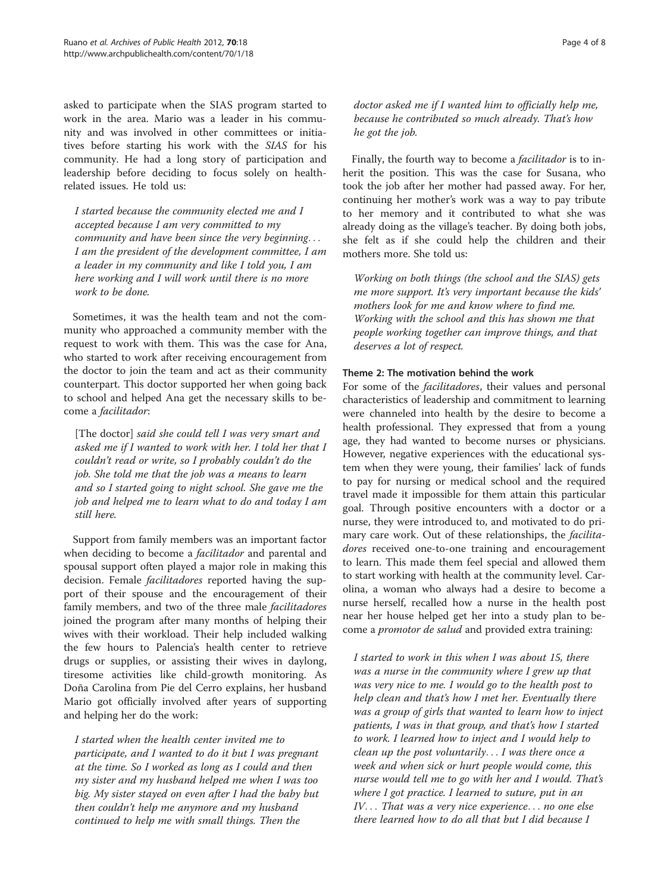asked to participate when the SIAS program started to work in the area. Mario was a leader in his community and was involved in other committees or initiatives before starting his work with the SIAS for his community. He had a long story of participation and leadership before deciding to focus solely on healthrelated issues. He told us:

I started because the community elected me and I accepted because I am very committed to my community and have been since the very beginning... I am the president of the development committee, I am a leader in my community and like I told you, I am here working and I will work until there is no more work to be done.

Sometimes, it was the health team and not the community who approached a community member with the request to work with them. This was the case for Ana, who started to work after receiving encouragement from the doctor to join the team and act as their community counterpart. This doctor supported her when going back to school and helped Ana get the necessary skills to become a facilitador:

[The doctor] said she could tell I was very smart and asked me if I wanted to work with her. I told her that I couldn't read or write, so I probably couldn't do the job. She told me that the job was a means to learn and so I started going to night school. She gave me the job and helped me to learn what to do and today I am still here.

Support from family members was an important factor when deciding to become a *facilitador* and parental and spousal support often played a major role in making this decision. Female *facilitadores* reported having the support of their spouse and the encouragement of their family members, and two of the three male facilitadores joined the program after many months of helping their wives with their workload. Their help included walking the few hours to Palencia's health center to retrieve drugs or supplies, or assisting their wives in daylong, tiresome activities like child-growth monitoring. As Doña Carolina from Pie del Cerro explains, her husband Mario got officially involved after years of supporting and helping her do the work:

I started when the health center invited me to participate, and I wanted to do it but I was pregnant at the time. So I worked as long as I could and then my sister and my husband helped me when I was too big. My sister stayed on even after I had the baby but then couldn't help me anymore and my husband continued to help me with small things. Then the

doctor asked me if I wanted him to officially help me, because he contributed so much already. That's how he got the job.

Finally, the fourth way to become a *facilitador* is to inherit the position. This was the case for Susana, who took the job after her mother had passed away. For her, continuing her mother's work was a way to pay tribute to her memory and it contributed to what she was already doing as the village's teacher. By doing both jobs, she felt as if she could help the children and their mothers more. She told us:

Working on both things (the school and the SIAS) gets me more support. It's very important because the kids' mothers look for me and know where to find me. Working with the school and this has shown me that people working together can improve things, and that deserves a lot of respect.

### Theme 2: The motivation behind the work

For some of the *facilitadores*, their values and personal characteristics of leadership and commitment to learning were channeled into health by the desire to become a health professional. They expressed that from a young age, they had wanted to become nurses or physicians. However, negative experiences with the educational system when they were young, their families' lack of funds to pay for nursing or medical school and the required travel made it impossible for them attain this particular goal. Through positive encounters with a doctor or a nurse, they were introduced to, and motivated to do primary care work. Out of these relationships, the *facilita*dores received one-to-one training and encouragement to learn. This made them feel special and allowed them to start working with health at the community level. Carolina, a woman who always had a desire to become a nurse herself, recalled how a nurse in the health post near her house helped get her into a study plan to become a promotor de salud and provided extra training:

I started to work in this when I was about 15, there was a nurse in the community where I grew up that was very nice to me. I would go to the health post to help clean and that's how I met her. Eventually there was a group of girls that wanted to learn how to inject patients, I was in that group, and that's how I started to work. I learned how to inject and I would help to clean up the post voluntarily... I was there once a week and when sick or hurt people would come, this nurse would tell me to go with her and I would. That's where I got practice. I learned to suture, put in an IV... That was a very nice experience... no one else there learned how to do all that but I did because I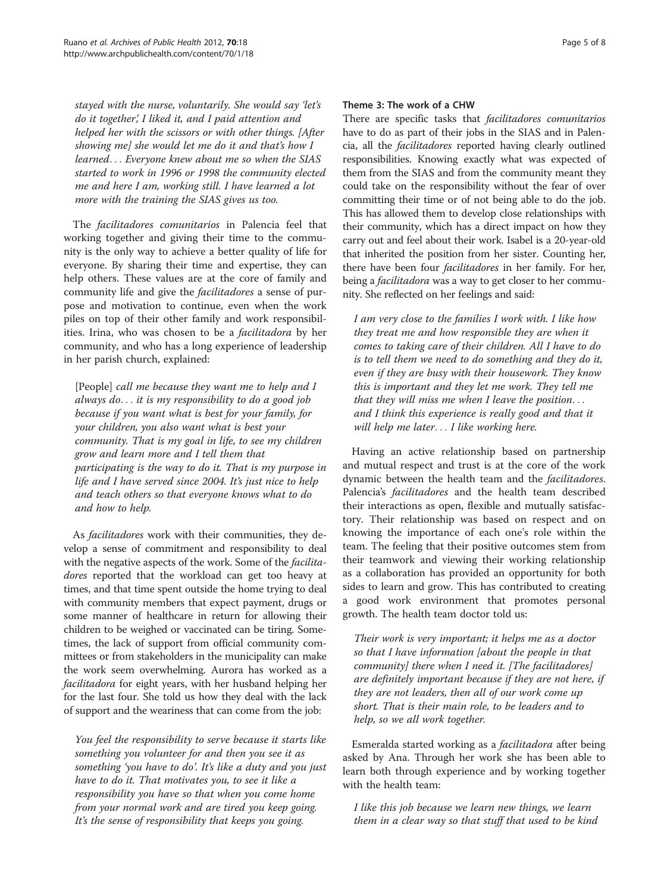stayed with the nurse, voluntarily. She would say 'let's do it together', I liked it, and I paid attention and helped her with the scissors or with other things. [After showing me] she would let me do it and that's how I learned... Everyone knew about me so when the SIAS started to work in 1996 or 1998 the community elected me and here I am, working still. I have learned a lot more with the training the SIAS gives us too.

The facilitadores comunitarios in Palencia feel that working together and giving their time to the community is the only way to achieve a better quality of life for everyone. By sharing their time and expertise, they can help others. These values are at the core of family and community life and give the facilitadores a sense of purpose and motivation to continue, even when the work piles on top of their other family and work responsibilities. Irina, who was chosen to be a *facilitadora* by her community, and who has a long experience of leadership in her parish church, explained:

[People] call me because they want me to help and I always do... it is my responsibility to do a good job because if you want what is best for your family, for your children, you also want what is best your community. That is my goal in life, to see my children grow and learn more and I tell them that participating is the way to do it. That is my purpose in life and I have served since 2004. It's just nice to help and teach others so that everyone knows what to do and how to help.

As facilitadores work with their communities, they develop a sense of commitment and responsibility to deal with the negative aspects of the work. Some of the *facilita*dores reported that the workload can get too heavy at times, and that time spent outside the home trying to deal with community members that expect payment, drugs or some manner of healthcare in return for allowing their children to be weighed or vaccinated can be tiring. Sometimes, the lack of support from official community committees or from stakeholders in the municipality can make the work seem overwhelming. Aurora has worked as a facilitadora for eight years, with her husband helping her for the last four. She told us how they deal with the lack of support and the weariness that can come from the job:

You feel the responsibility to serve because it starts like something you volunteer for and then you see it as something 'you have to do'. It's like a duty and you just have to do it. That motivates you, to see it like a responsibility you have so that when you come home from your normal work and are tired you keep going. It's the sense of responsibility that keeps you going.

#### Theme 3: The work of a CHW

There are specific tasks that facilitadores comunitarios have to do as part of their jobs in the SIAS and in Palencia, all the facilitadores reported having clearly outlined responsibilities. Knowing exactly what was expected of them from the SIAS and from the community meant they could take on the responsibility without the fear of over committing their time or of not being able to do the job. This has allowed them to develop close relationships with their community, which has a direct impact on how they carry out and feel about their work. Isabel is a 20-year-old that inherited the position from her sister. Counting her, there have been four facilitadores in her family. For her, being a *facilitadora* was a way to get closer to her community. She reflected on her feelings and said:

I am very close to the families I work with. I like how they treat me and how responsible they are when it comes to taking care of their children. All I have to do is to tell them we need to do something and they do it, even if they are busy with their housework. They know this is important and they let me work. They tell me that they will miss me when I leave the position... and I think this experience is really good and that it will help me later... I like working here.

Having an active relationship based on partnership and mutual respect and trust is at the core of the work dynamic between the health team and the *facilitadores*. Palencia's *facilitadores* and the health team described their interactions as open, flexible and mutually satisfactory. Their relationship was based on respect and on knowing the importance of each one's role within the team. The feeling that their positive outcomes stem from their teamwork and viewing their working relationship as a collaboration has provided an opportunity for both sides to learn and grow. This has contributed to creating a good work environment that promotes personal growth. The health team doctor told us:

Their work is very important; it helps me as a doctor so that I have information [about the people in that community] there when I need it. [The facilitadores] are definitely important because if they are not here, if they are not leaders, then all of our work come up short. That is their main role, to be leaders and to help, so we all work together.

Esmeralda started working as a facilitadora after being asked by Ana. Through her work she has been able to learn both through experience and by working together with the health team:

I like this job because we learn new things, we learn them in a clear way so that stuff that used to be kind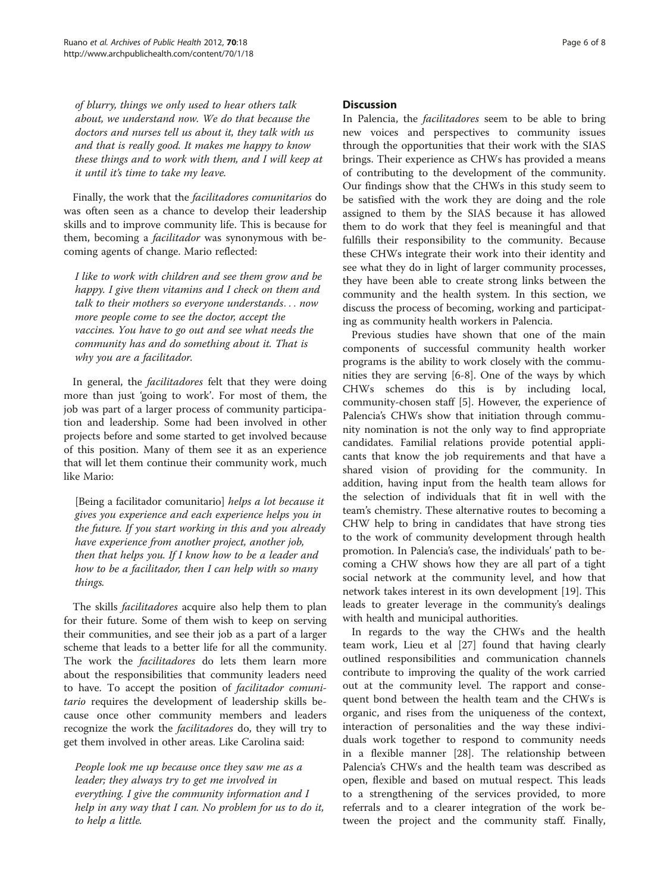of blurry, things we only used to hear others talk about, we understand now. We do that because the doctors and nurses tell us about it, they talk with us and that is really good. It makes me happy to know these things and to work with them, and I will keep at it until it's time to take my leave.

Finally, the work that the facilitadores comunitarios do was often seen as a chance to develop their leadership skills and to improve community life. This is because for them, becoming a *facilitador* was synonymous with becoming agents of change. Mario reflected:

I like to work with children and see them grow and be happy. I give them vitamins and I check on them and talk to their mothers so everyone understands... now more people come to see the doctor, accept the vaccines. You have to go out and see what needs the community has and do something about it. That is why you are a facilitador.

In general, the *facilitadores* felt that they were doing more than just 'going to work'. For most of them, the job was part of a larger process of community participation and leadership. Some had been involved in other projects before and some started to get involved because of this position. Many of them see it as an experience that will let them continue their community work, much like Mario:

[Being a facilitador comunitario] helps a lot because it gives you experience and each experience helps you in the future. If you start working in this and you already have experience from another project, another job, then that helps you. If I know how to be a leader and how to be a facilitador, then I can help with so many things.

The skills *facilitadores* acquire also help them to plan for their future. Some of them wish to keep on serving their communities, and see their job as a part of a larger scheme that leads to a better life for all the community. The work the *facilitadores* do lets them learn more about the responsibilities that community leaders need to have. To accept the position of facilitador comunitario requires the development of leadership skills because once other community members and leaders recognize the work the facilitadores do, they will try to get them involved in other areas. Like Carolina said:

People look me up because once they saw me as a leader; they always try to get me involved in everything. I give the community information and I help in any way that I can. No problem for us to do it, to help a little.

### **Discussion**

In Palencia, the *facilitadores* seem to be able to bring new voices and perspectives to community issues through the opportunities that their work with the SIAS brings. Their experience as CHWs has provided a means of contributing to the development of the community. Our findings show that the CHWs in this study seem to be satisfied with the work they are doing and the role assigned to them by the SIAS because it has allowed them to do work that they feel is meaningful and that fulfills their responsibility to the community. Because these CHWs integrate their work into their identity and see what they do in light of larger community processes, they have been able to create strong links between the community and the health system. In this section, we discuss the process of becoming, working and participating as community health workers in Palencia.

Previous studies have shown that one of the main components of successful community health worker programs is the ability to work closely with the communities they are serving [[6-8\]](#page-7-0). One of the ways by which CHWs schemes do this is by including local, community-chosen staff [\[5\]](#page-7-0). However, the experience of Palencia's CHWs show that initiation through community nomination is not the only way to find appropriate candidates. Familial relations provide potential applicants that know the job requirements and that have a shared vision of providing for the community. In addition, having input from the health team allows for the selection of individuals that fit in well with the team's chemistry. These alternative routes to becoming a CHW help to bring in candidates that have strong ties to the work of community development through health promotion. In Palencia's case, the individuals' path to becoming a CHW shows how they are all part of a tight social network at the community level, and how that network takes interest in its own development [\[19\]](#page-7-0). This leads to greater leverage in the community's dealings with health and municipal authorities.

In regards to the way the CHWs and the health team work, Lieu et al [[27](#page-7-0)] found that having clearly outlined responsibilities and communication channels contribute to improving the quality of the work carried out at the community level. The rapport and consequent bond between the health team and the CHWs is organic, and rises from the uniqueness of the context, interaction of personalities and the way these individuals work together to respond to community needs in a flexible manner [\[28](#page-7-0)]. The relationship between Palencia's CHWs and the health team was described as open, flexible and based on mutual respect. This leads to a strengthening of the services provided, to more referrals and to a clearer integration of the work between the project and the community staff. Finally,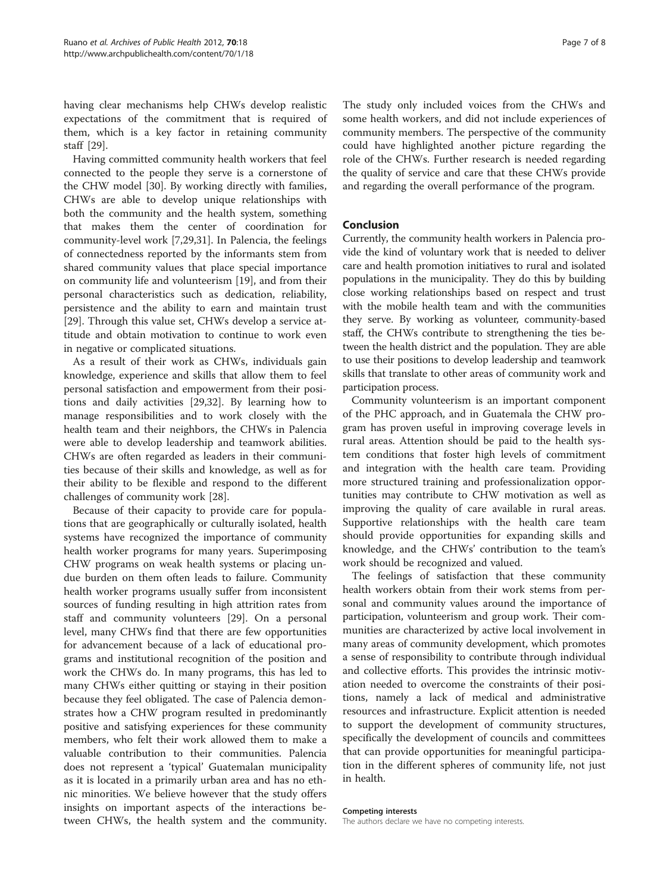having clear mechanisms help CHWs develop realistic expectations of the commitment that is required of them, which is a key factor in retaining community staff [[29\]](#page-7-0).

Having committed community health workers that feel connected to the people they serve is a cornerstone of the CHW model [[30\]](#page-7-0). By working directly with families, CHWs are able to develop unique relationships with both the community and the health system, something that makes them the center of coordination for community-level work [[7](#page-7-0),[29](#page-7-0),[31](#page-7-0)]. In Palencia, the feelings of connectedness reported by the informants stem from shared community values that place special importance on community life and volunteerism [\[19](#page-7-0)], and from their personal characteristics such as dedication, reliability, persistence and the ability to earn and maintain trust [[29\]](#page-7-0). Through this value set, CHWs develop a service attitude and obtain motivation to continue to work even in negative or complicated situations.

As a result of their work as CHWs, individuals gain knowledge, experience and skills that allow them to feel personal satisfaction and empowerment from their positions and daily activities [\[29,32\]](#page-7-0). By learning how to manage responsibilities and to work closely with the health team and their neighbors, the CHWs in Palencia were able to develop leadership and teamwork abilities. CHWs are often regarded as leaders in their communities because of their skills and knowledge, as well as for their ability to be flexible and respond to the different challenges of community work [[28\]](#page-7-0).

Because of their capacity to provide care for populations that are geographically or culturally isolated, health systems have recognized the importance of community health worker programs for many years. Superimposing CHW programs on weak health systems or placing undue burden on them often leads to failure. Community health worker programs usually suffer from inconsistent sources of funding resulting in high attrition rates from staff and community volunteers [\[29](#page-7-0)]. On a personal level, many CHWs find that there are few opportunities for advancement because of a lack of educational programs and institutional recognition of the position and work the CHWs do. In many programs, this has led to many CHWs either quitting or staying in their position because they feel obligated. The case of Palencia demonstrates how a CHW program resulted in predominantly positive and satisfying experiences for these community members, who felt their work allowed them to make a valuable contribution to their communities. Palencia does not represent a 'typical' Guatemalan municipality as it is located in a primarily urban area and has no ethnic minorities. We believe however that the study offers insights on important aspects of the interactions between CHWs, the health system and the community.

The study only included voices from the CHWs and some health workers, and did not include experiences of community members. The perspective of the community could have highlighted another picture regarding the role of the CHWs. Further research is needed regarding the quality of service and care that these CHWs provide and regarding the overall performance of the program.

### Conclusion

Currently, the community health workers in Palencia provide the kind of voluntary work that is needed to deliver care and health promotion initiatives to rural and isolated populations in the municipality. They do this by building close working relationships based on respect and trust with the mobile health team and with the communities they serve. By working as volunteer, community-based staff, the CHWs contribute to strengthening the ties between the health district and the population. They are able to use their positions to develop leadership and teamwork skills that translate to other areas of community work and participation process.

Community volunteerism is an important component of the PHC approach, and in Guatemala the CHW program has proven useful in improving coverage levels in rural areas. Attention should be paid to the health system conditions that foster high levels of commitment and integration with the health care team. Providing more structured training and professionalization opportunities may contribute to CHW motivation as well as improving the quality of care available in rural areas. Supportive relationships with the health care team should provide opportunities for expanding skills and knowledge, and the CHWs' contribution to the team's work should be recognized and valued.

The feelings of satisfaction that these community health workers obtain from their work stems from personal and community values around the importance of participation, volunteerism and group work. Their communities are characterized by active local involvement in many areas of community development, which promotes a sense of responsibility to contribute through individual and collective efforts. This provides the intrinsic motivation needed to overcome the constraints of their positions, namely a lack of medical and administrative resources and infrastructure. Explicit attention is needed to support the development of community structures, specifically the development of councils and committees that can provide opportunities for meaningful participation in the different spheres of community life, not just in health.

#### Competing interests

The authors declare we have no competing interests.